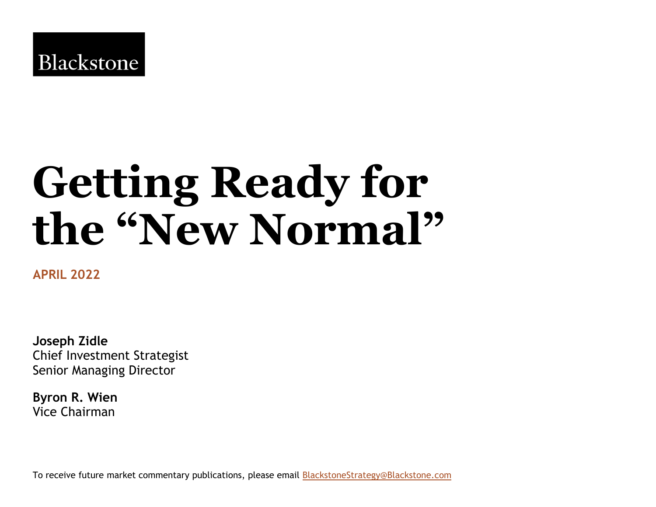# **Getting Ready for the "New Normal"**

**APRIL 2022**

**Joseph Zidle** Chief Investment Strategist Senior Managing Director

**Byron R. Wien**  Vice Chairman

To receive future market commentary publications, please email **BlackstoneStrategy@Blackstone.com**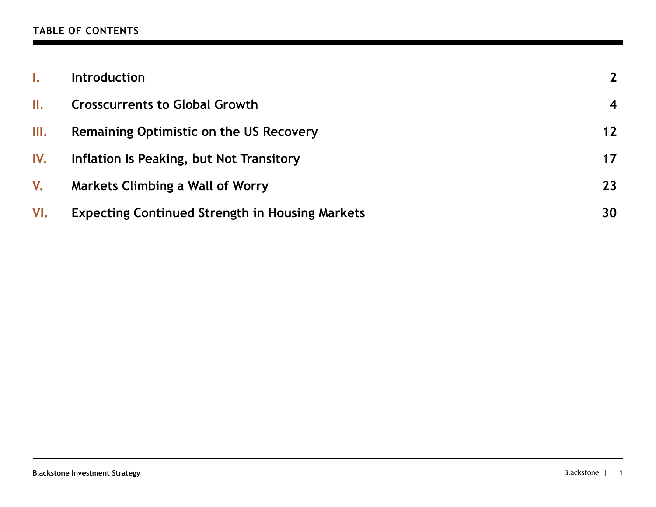### **TABLE OF CONTENTS**

|     | <b>Introduction</b>                                    | $2^{\circ}$             |
|-----|--------------------------------------------------------|-------------------------|
| II. | <b>Crosscurrents to Global Growth</b>                  | $\overline{\mathbf{4}}$ |
| Ш.  | <b>Remaining Optimistic on the US Recovery</b>         | $12 \ \mathrm{$         |
| IV. | Inflation Is Peaking, but Not Transitory               | 17                      |
| V.  | <b>Markets Climbing a Wall of Worry</b>                | 23                      |
| VI. | <b>Expecting Continued Strength in Housing Markets</b> | 30                      |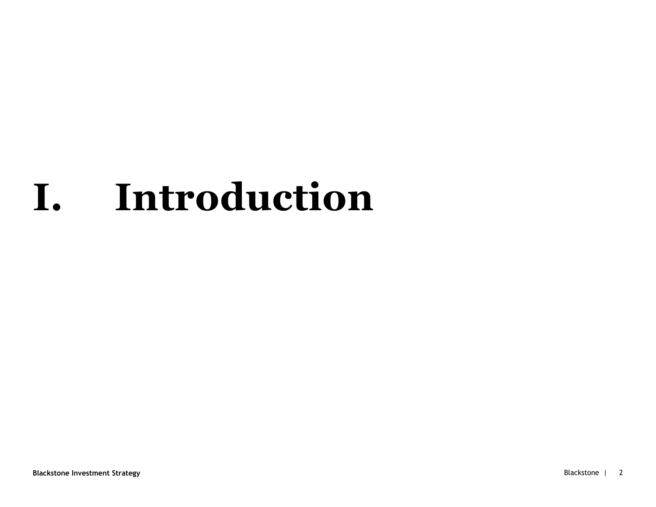# **I. Introduction**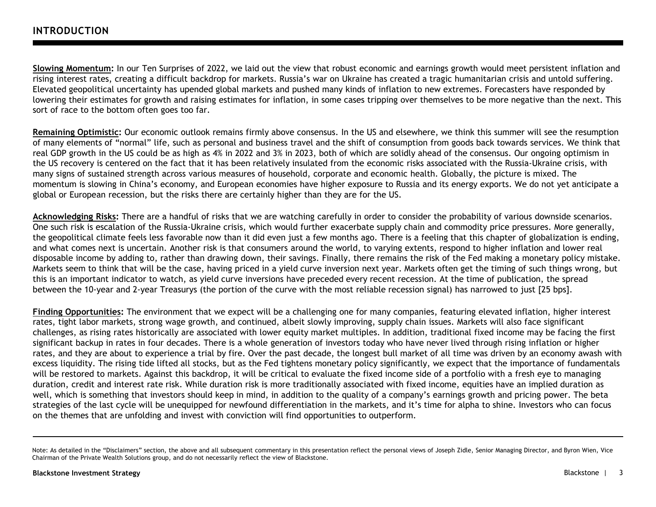**Slowing Momentum:** In our Ten Surprises of 2022, we laid out the view that robust economic and earnings growth would meet persistent inflation and rising interest rates, creating a difficult backdrop for markets. Russia's war on Ukraine has created a tragic humanitarian crisis and untold suffering. Elevated geopolitical uncertainty has upended global markets and pushed many kinds of inflation to new extremes. Forecasters have responded by lowering their estimates for growth and raising estimates for inflation, in some cases tripping over themselves to be more negative than the next. This sort of race to the bottom often goes too far.

**Remaining Optimistic:** Our economic outlook remains firmly above consensus. In the US and elsewhere, we think this summer will see the resumption of many elements of "normal" life, such as personal and business travel and the shift of consumption from goods back towards services. We think that real GDP growth in the US could be as high as 4% in 2022 and 3% in 2023, both of which are solidly ahead of the consensus. Our ongoing optimism in the US recovery is centered on the fact that it has been relatively insulated from the economic risks associated with the Russia-Ukraine crisis, with many signs of sustained strength across various measures of household, corporate and economic health. Globally, the picture is mixed. The momentum is slowing in China's economy, and European economies have higher exposure to Russia and its energy exports. We do not yet anticipate a global or European recession, but the risks there are certainly higher than they are for the US.

**Acknowledging Risks:** There are a handful of risks that we are watching carefully in order to consider the probability of various downside scenarios. One such risk is escalation of the Russia-Ukraine crisis, which would further exacerbate supply chain and commodity price pressures. More generally, the geopolitical climate feels less favorable now than it did even just a few months ago. There is a feeling that this chapter of globalization is ending, and what comes next is uncertain. Another risk is that consumers around the world, to varying extents, respond to higher inflation and lower real disposable income by adding to, rather than drawing down, their savings. Finally, there remains the risk of the Fed making a monetary policy mistake. Markets seem to think that will be the case, having priced in a yield curve inversion next year. Markets often get the timing of such things wrong, but this is an important indicator to watch, as yield curve inversions have preceded every recent recession. At the time of publication, the spread between the 10-year and 2-year Treasurys (the portion of the curve with the most reliable recession signal) has narrowed to just [25 bps].

**Finding Opportunities:** The environment that we expect will be a challenging one for many companies, featuring elevated inflation, higher interest rates, tight labor markets, strong wage growth, and continued, albeit slowly improving, supply chain issues. Markets will also face significant challenges, as rising rates historically are associated with lower equity market multiples. In addition, traditional fixed income may be facing the first significant backup in rates in four decades. There is a whole generation of investors today who have never lived through rising inflation or higher rates, and they are about to experience a trial by fire. Over the past decade, the longest bull market of all time was driven by an economy awash with excess liquidity. The rising tide lifted all stocks, but as the Fed tightens monetary policy significantly, we expect that the importance of fundamentals will be restored to markets. Against this backdrop, it will be critical to evaluate the fixed income side of a portfolio with a fresh eye to managing duration, credit and interest rate risk. While duration risk is more traditionally associated with fixed income, equities have an implied duration as well, which is something that investors should keep in mind, in addition to the quality of a company's earnings growth and pricing power. The beta strategies of the last cycle will be unequipped for newfound differentiation in the markets, and it's time for alpha to shine. Investors who can focus on the themes that are unfolding and invest with conviction will find opportunities to outperform.

Note: As detailed in the "Disclaimers" section, the above and all subsequent commentary in this presentation reflect the personal views of Joseph Zidle, Senior Managing Director, and Byron Wien, Vice Chairman of the Private Wealth Solutions group, and do not necessarily reflect the view of Blackstone.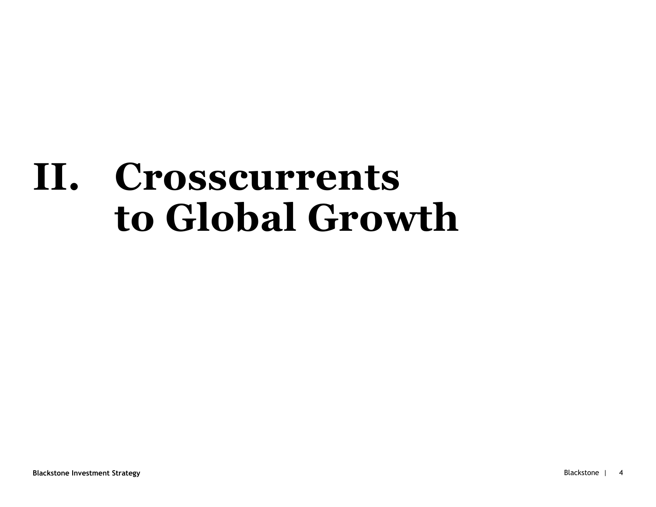# **II. Crosscurrents to Global Growth**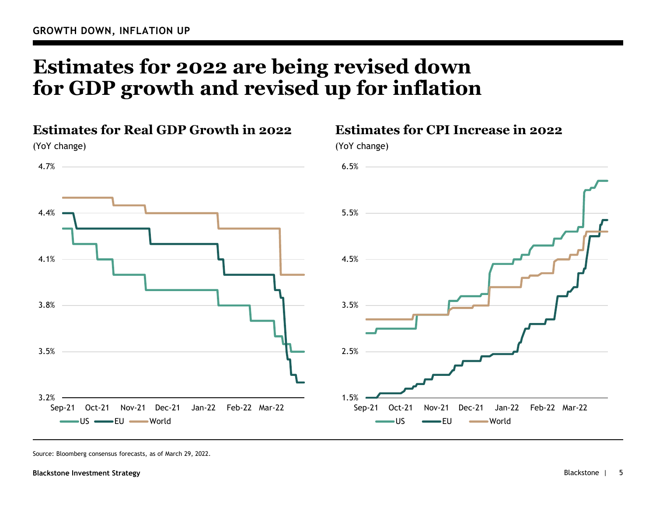# **Estimates for 2022 are being revised down for GDP growth and revised up for inflation**



## **Estimates for CPI Increase in 2022**

Source: Bloomberg consensus forecasts, as of March 29, 2022.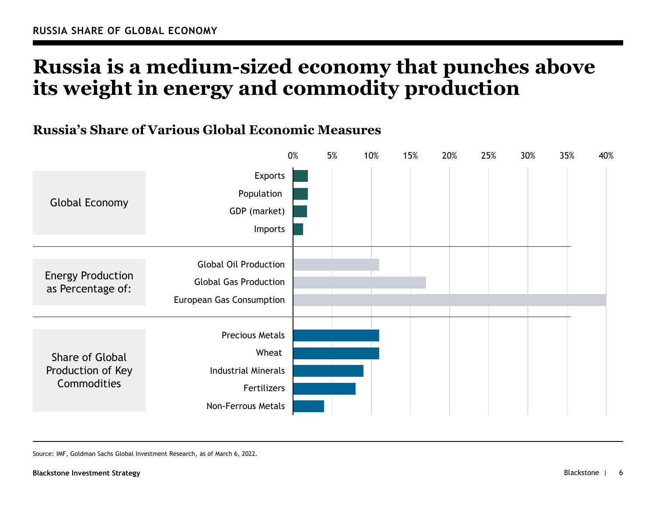# **Russia is a medium-sized economy that punches above its weight in energy and commodity production**

## **Russia's Share of Various Global Economic Measures**



Source: IMF, Goldman Sachs Global Investment Research, as of March 6, 2022.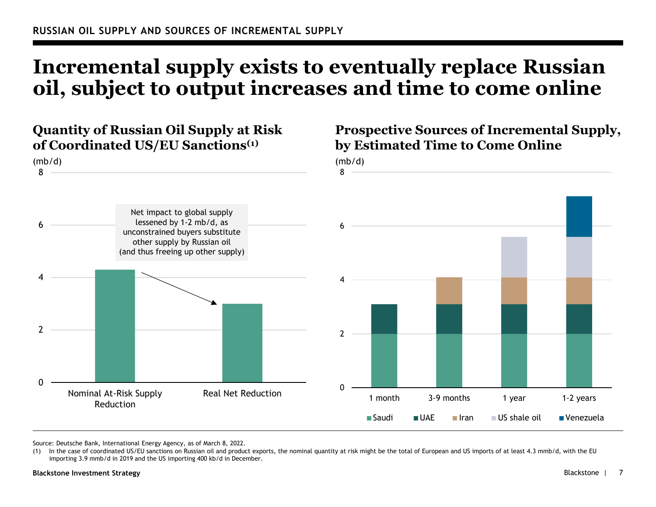# **Incremental supply exists to eventually replace Russian oil, subject to output increases and time to come online**



Source: Deutsche Bank, International Energy Agency, as of March 8, 2022.

<sup>(1)</sup> In the case of coordinated US/EU sanctions on Russian oil and product exports, the nominal quantity at risk might be the total of European and US imports of at least 4.3 mmb/d, with the EU importing 3.9 mmb/d in 2019 and the US importing 400 kb/d in December.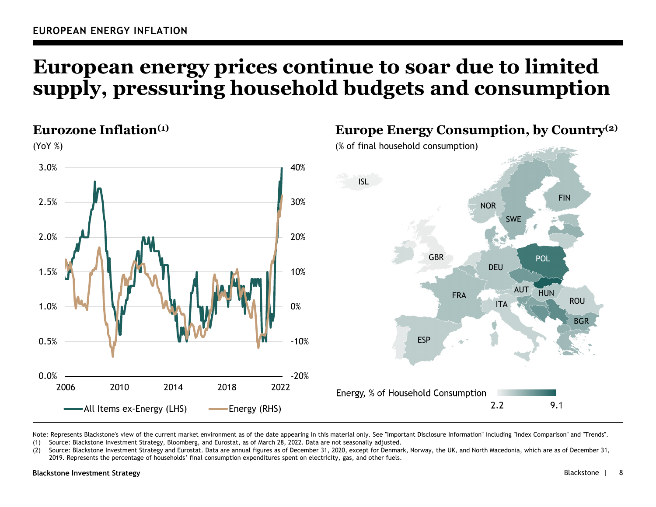# **European energy prices continue to soar due to limited supply, pressuring household budgets and consumption**



Note: Represents Blackstone's view of the current market environment as of the date appearing in this material only. See "Important Disclosure Information" including "Index Comparison" and "Trends". (1) Source: Blackstone Investment Strategy, Bloomberg, and Eurostat, as of March 28, 2022. Data are not seasonally adjusted.

(2) Source: Blackstone Investment Strategy and Eurostat. Data are annual figures as of December 31, 2020, except for Denmark, Norway, the UK, and North Macedonia, which are as of December 31, 2019. Represents the percentage of households' final consumption expenditures spent on electricity, gas, and other fuels.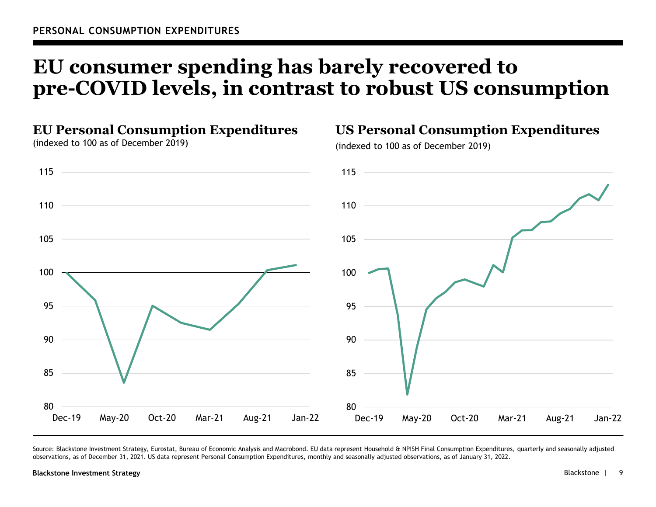# **EU consumer spending has barely recovered to pre-COVID levels, in contrast to robust US consumption**



Source: Blackstone Investment Strategy, Eurostat, Bureau of Economic Analysis and Macrobond. EU data represent Household & NPISH Final Consumption Expenditures, quarterly and seasonally adjusted observations, as of December 31, 2021. US data represent Personal Consumption Expenditures, monthly and seasonally adjusted observations, as of January 31, 2022.

#### **Blackstone Investment Strategy** Blackstone |

**US Personal Consumption Expenditures**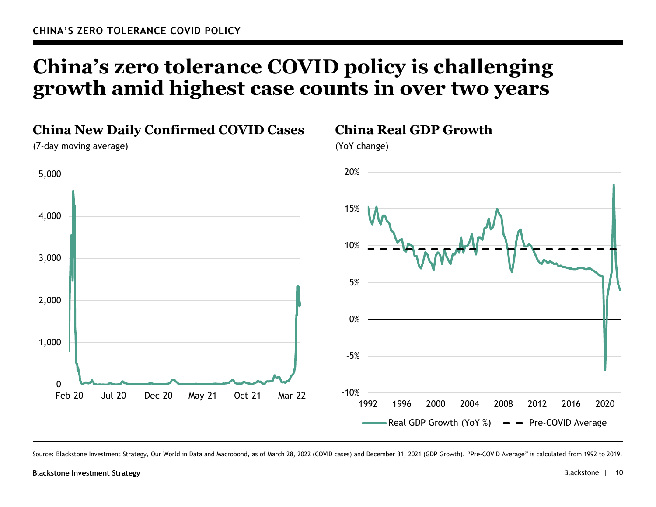# **China's zero tolerance COVID policy is challenging growth amid highest case counts in over two years**



Source: Blackstone Investment Strategy, Our World in Data and Macrobond, as of March 28, 2022 (COVID cases) and December 31, 2021 (GDP Growth). "Pre-COVID Average" is calculated from 1992 to 2019.

#### **Blackstone Investment Strategy** Blackstone | 10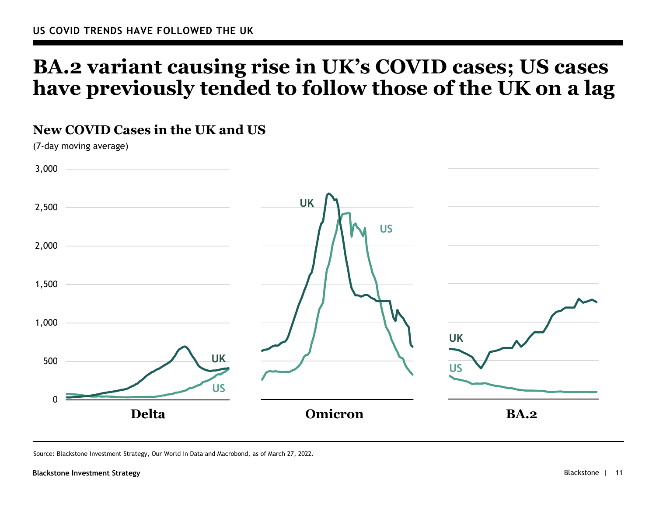## **BA.2 variant causing rise in UK's COVID cases; US cases have previously tended to follow those of the UK on a lag**



Source: Blackstone Investment Strategy, Our World in Data and Macrobond, as of March 27, 2022.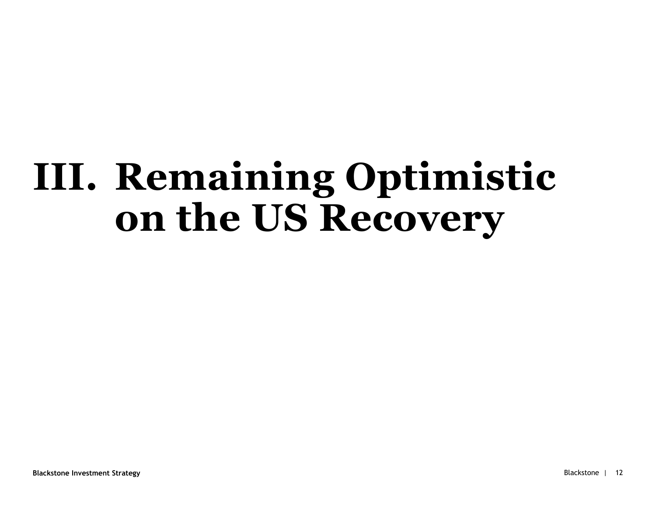# **III. Remaining Optimistic on the US Recovery**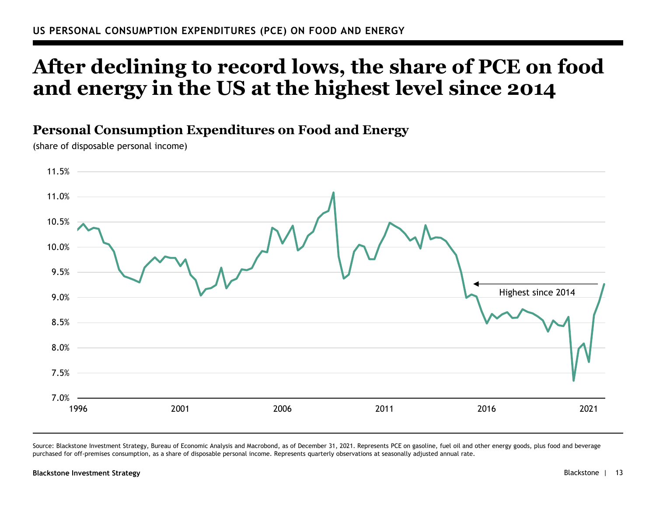# **After declining to record lows, the share of PCE on food and energy in the US at the highest level since 2014**

## **Personal Consumption Expenditures on Food and Energy**

(share of disposable personal income)



Source: Blackstone Investment Strategy, Bureau of Economic Analysis and Macrobond, as of December 31, 2021. Represents PCE on gasoline, fuel oil and other energy goods, plus food and beverage purchased for off-premises consumption, as a share of disposable personal income. Represents quarterly observations at seasonally adjusted annual rate.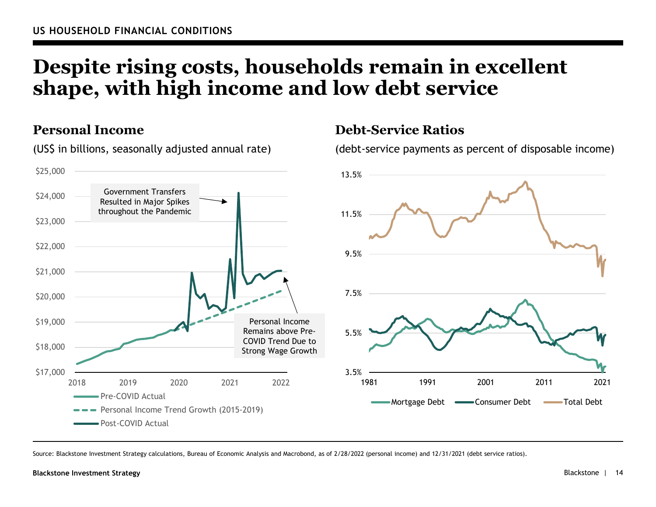# **Despite rising costs, households remain in excellent shape, with high income and low debt service**

**Debt-Service Ratios**

(debt-service payments as percent of disposable income)

## **Personal Income**

(US\$ in billions, seasonally adjusted annual rate)



Source: Blackstone Investment Strategy calculations, Bureau of Economic Analysis and Macrobond, as of 2/28/2022 (personal income) and 12/31/2021 (debt service ratios).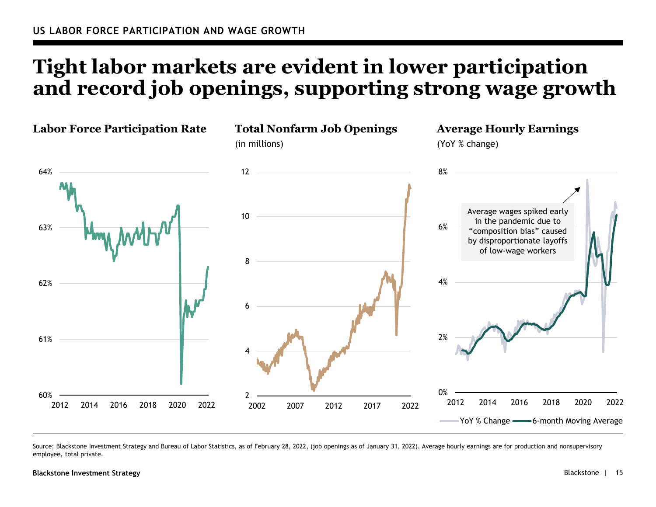# **Tight labor markets are evident in lower participation and record job openings, supporting strong wage growth**



Source: Blackstone Investment Strategy and Bureau of Labor Statistics, as of February 28, 2022, (job openings as of January 31, 2022). Average hourly earnings are for production and nonsupervisory employee, total private.

#### **Blackstone Investment Strategy**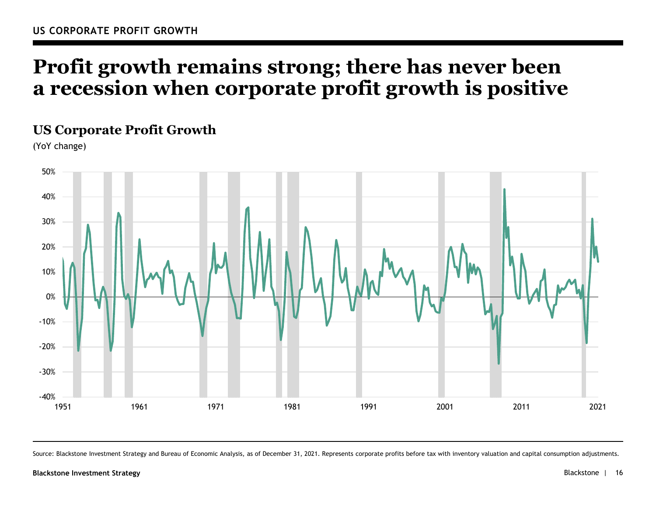# **Profit growth remains strong; there has never been a recession when corporate profit growth is positive**

## **US Corporate Profit Growth**

(YoY change)



Source: Blackstone Investment Strategy and Bureau of Economic Analysis, as of December 31, 2021. Represents corporate profits before tax with inventory valuation and capital consumption adjustments.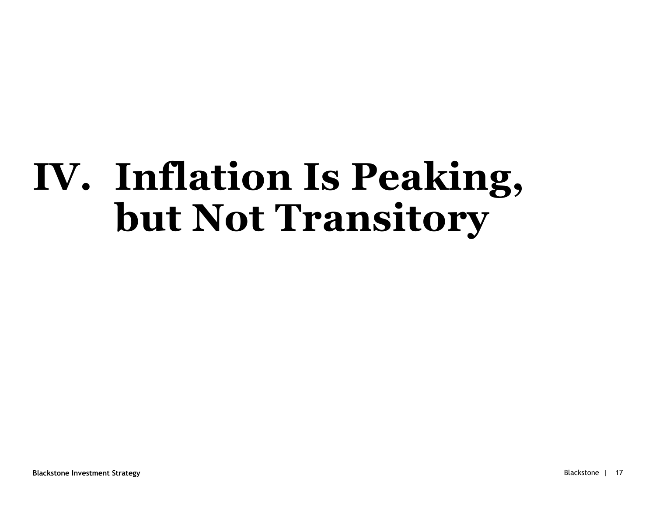# **IV. Inflation Is Peaking, but Not Transitory**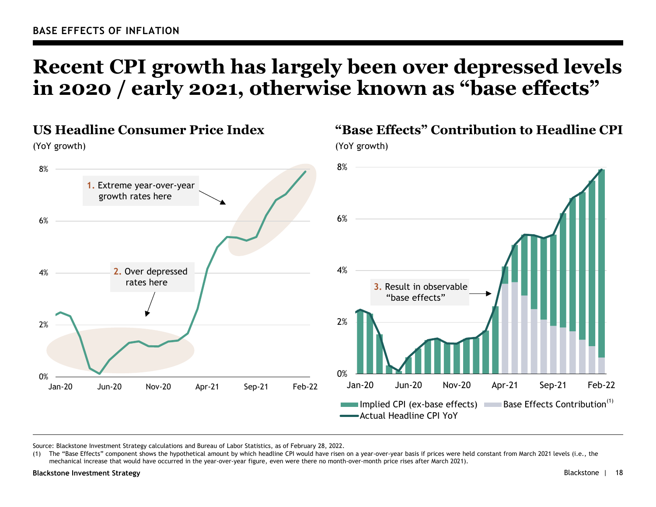# **Recent CPI growth has largely been over depressed levels in 2020 / early 2021, otherwise known as "base effects"**



Source: Blackstone Investment Strategy calculations and Bureau of Labor Statistics, as of February 28, 2022.

(1) The "Base Effects" component shows the hypothetical amount by which headline CPI would have risen on a year-over-year basis if prices were held constant from March 2021 levels (i.e., the mechanical increase that would have occurred in the year-over-year figure, even were there no month-over-month price rises after March 2021).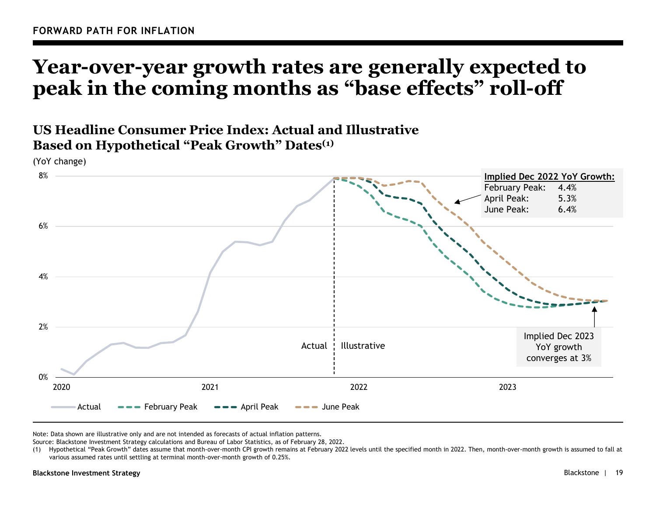## **Year-over-year growth rates are generally expected to peak in the coming months as "base effects" roll-off**

## **US Headline Consumer Price Index: Actual and Illustrative Based on Hypothetical "Peak Growth" Dates(1)**

0%2%4%6%8%2020 2021 2022 2023ActualFebruary Peak  $\bullet$   $\bullet$  April Peak  $\bullet$   $\bullet$  June Peak (YoY change) Actual Illustrative **Implied Dec 2022 YoY Growth:** February Peak: 4.4% April Peak: 5.3% June Peak: 6.4%Implied Dec 2023 YoY growth converges at 3%

Note: Data shown are illustrative only and are not intended as forecasts of actual inflation patterns.

Source: Blackstone Investment Strategy calculations and Bureau of Labor Statistics, as of February 28, 2022.

(1) Hypothetical "Peak Growth" dates assume that month-over-month CPI growth remains at February 2022 levels until the specified month in 2022. Then, month-over-month growth is assumed to fall at various assumed rates until settling at terminal month-over-month growth of 0.25%.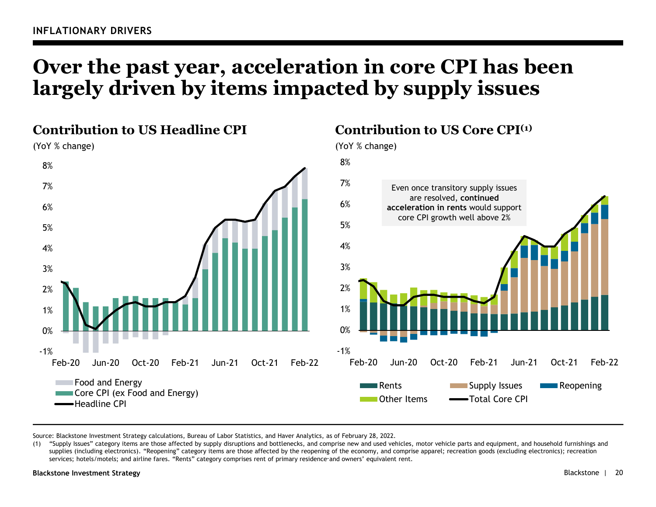# **Over the past year, acceleration in core CPI has been largely driven by items impacted by supply issues**



Source: Blackstone Investment Strategy calculations, Bureau of Labor Statistics, and Haver Analytics, as of February 28, 2022.

(1) "Supply Issues" category items are those affected by supply disruptions and bottlenecks, and comprise new and used vehicles, motor vehicle parts and equipment, and household furnishings and supplies (including electronics). "Reopening" category items are those affected by the reopening of the economy, and comprise apparel; recreation goods (excluding electronics); recreation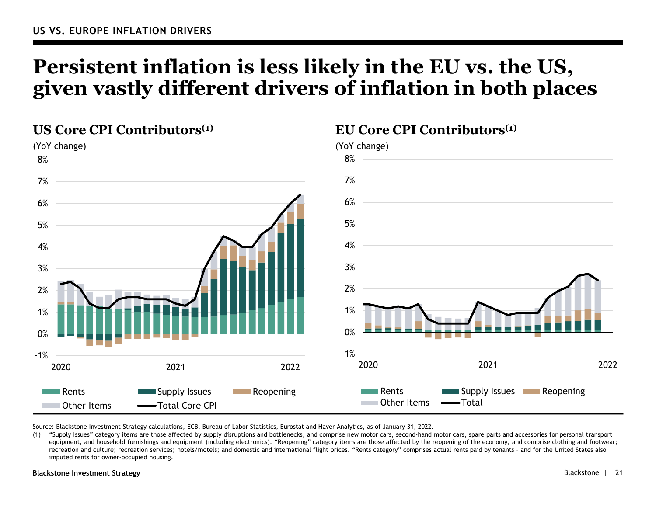# **Persistent inflation is less likely in the EU vs. the US, given vastly different drivers of inflation in both places**



Source: Blackstone Investment Strategy calculations, ECB, Bureau of Labor Statistics, Eurostat and Haver Analytics, as of January 31, 2022.

(1) "Supply Issues" category items are those affected by supply disruptions and bottlenecks, and comprise new motor cars, second-hand motor cars, spare parts and accessories for personal transport equipment, and household furnishings and equipment (including electronics). "Reopening" category items are those affected by the reopening of the economy, and comprise clothing and footwear; recreation and culture; recreation services; hotels/motels; and domestic and international flight prices. "Rents category" comprises actual rents paid by tenants – and for the United States also imputed rents for owner-occupied housing.

#### **Blackstone Investment Strategy** Blackstone | 21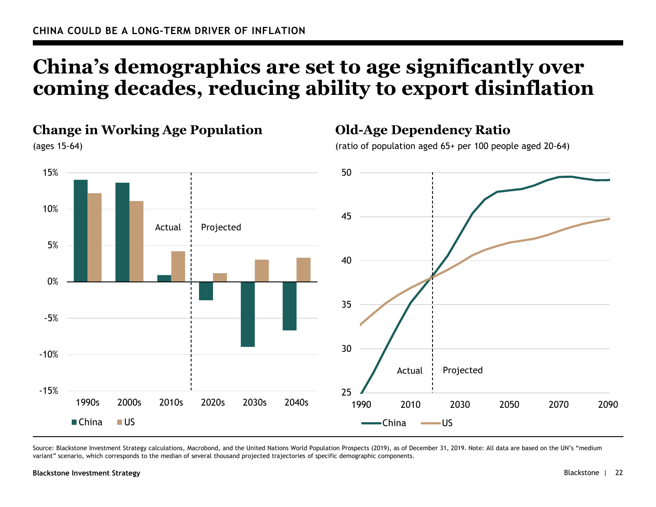# **China's demographics are set to age significantly over coming decades, reducing ability to export disinflation**



Source: Blackstone Investment Strategy calculations, Macrobond, and the United Nations World Population Prospects (2019), as of December 31, 2019. Note: All data are based on the UN's "medium variant" scenario, which corresponds to the median of several thousand projected trajectories of specific demographic components.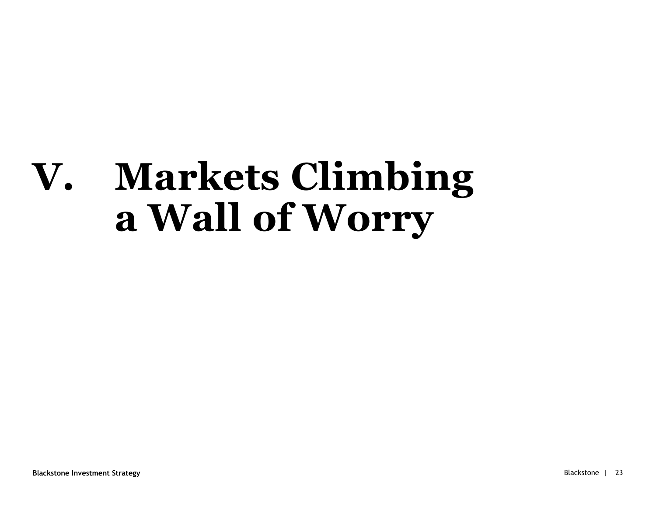# **V. Markets Climbing <sup>a</sup> Wall of Worry**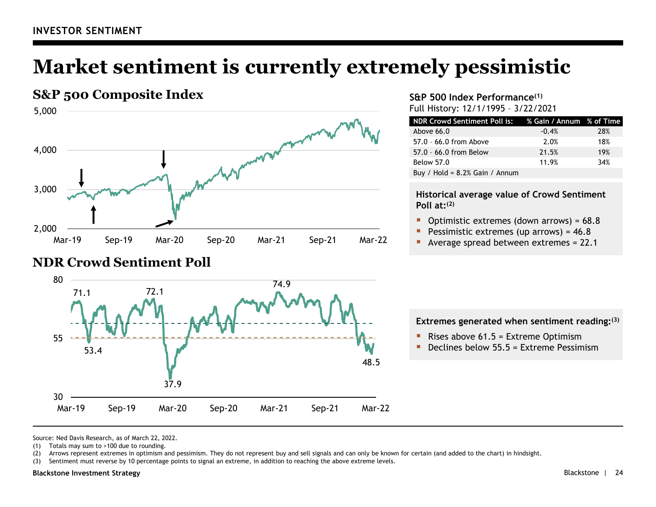# **Market sentiment is currently extremely pessimistic**





#### **S&P 500 Index Performance(1)** Full History: 12/1/1995 – 3/22/2021

| NDR Crowd Sentiment Poll is: % Gain / Annum % of Time |         |     |
|-------------------------------------------------------|---------|-----|
| Above $66.0$                                          | $-0.4%$ | 28% |
| 57.0 - 66.0 from Above                                | 2.0%    | 18% |
| 57.0 - 66.0 from Below                                | 21.5%   | 19% |
| <b>Below 57.0</b>                                     | 11.9%   | 34% |
| Buy / Hold = $8.2\%$ Gain / Annum                     |         |     |

#### **Historical average value of Crowd Sentiment Poll at:(2)**

- $\blacksquare$ Optimistic extremes (down arrows) = 68.8
- Pessimistic extremes (up arrows) = 46.8
- Average spread between extremes = 22.1

#### **Extremes generated when sentiment reading:(3)**

- $\blacksquare$ Rises above 61.5 = Extreme Optimism
- **Declines below 55.5 = Extreme Pessimism**

Source: Ned Davis Research, as of March 22, 2022.

(1) Totals may sum to >100 due to rounding.

(2) Arrows represent extremes in optimism and pessimism. They do not represent buy and sell signals and can only be known for certain (and added to the chart) in hindsight.

(3) Sentiment must reverse by 10 percentage points to signal an extreme, in addition to reaching the above extreme levels.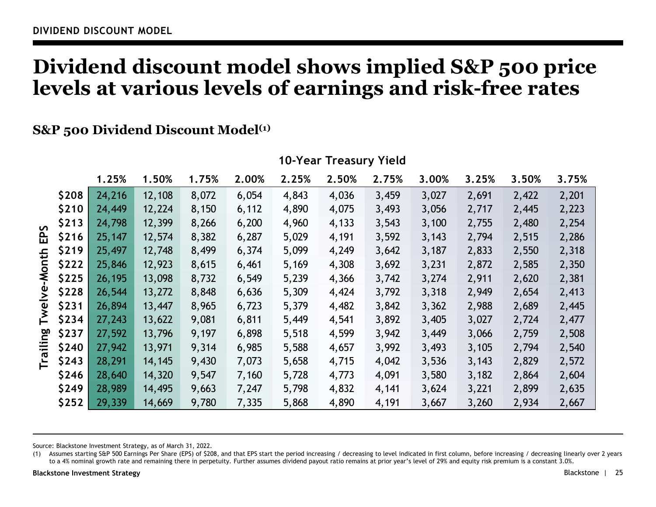## **Dividend discount model shows implied S&P 500 price levels at various levels of earnings and risk-free rates**

## **S&P** 500 Dividend Discount Model<sup>(1)</sup>

|                                               |       | 1.25%  | 1.50%  | 1.75% | 2.00% | 2.25% | 2.50% | 2.75% | 3.00% | 3.25% | 3.50% | 3.75% |
|-----------------------------------------------|-------|--------|--------|-------|-------|-------|-------|-------|-------|-------|-------|-------|
| $\mathbf{v}$<br>읎<br>乇<br>$\overline{5}$<br>₹ | \$208 | 24,216 | 12,108 | 8,072 | 6,054 | 4,843 | 4,036 | 3,459 | 3,027 | 2,691 | 2,422 | 2,201 |
|                                               | \$210 | 24,449 | 12,224 | 8,150 | 6,112 | 4,890 | 4,075 | 3,493 | 3,056 | 2,717 | 2,445 | 2,223 |
|                                               | \$213 | 24,798 | 12,399 | 8,266 | 6,200 | 4,960 | 4,133 | 3,543 | 3,100 | 2,755 | 2,480 | 2,254 |
|                                               | \$216 | 25,147 | 12,574 | 8,382 | 6,287 | 5,029 | 4,191 | 3,592 | 3,143 | 2,794 | 2,515 | 2,286 |
|                                               | \$219 | 25,497 | 12,748 | 8,499 | 6,374 | 5,099 | 4,249 | 3,642 | 3,187 | 2,833 | 2,550 | 2,318 |
|                                               | \$222 | 25,846 | 12,923 | 8,615 | 6,461 | 5,169 | 4,308 | 3,692 | 3,231 | 2,872 | 2,585 | 2,350 |
|                                               | \$225 | 26,195 | 13,098 | 8,732 | 6,549 | 5,239 | 4,366 | 3,742 | 3,274 | 2,911 | 2,620 | 2,381 |
| $\mathbf{\Sigma}$                             | \$228 | 26,544 | 13,272 | 8,848 | 6,636 | 5,309 | 4,424 | 3,792 | 3,318 | 2,949 | 2,654 | 2,413 |
|                                               | \$231 | 26,894 | 13,447 | 8,965 | 6,723 | 5,379 | 4,482 | 3,842 | 3,362 | 2,988 | 2,689 | 2,445 |
| Twe                                           | \$234 | 27,243 | 13,622 | 9,081 | 6,811 | 5,449 | 4,541 | 3,892 | 3,405 | 3,027 | 2,724 | 2,477 |
| ၛၙ<br>₩<br>ത<br>┢                             | \$237 | 27,592 | 13,796 | 9,197 | 6,898 | 5,518 | 4,599 | 3,942 | 3,449 | 3,066 | 2,759 | 2,508 |
|                                               | \$240 | 27,942 | 13,971 | 9,314 | 6,985 | 5,588 | 4,657 | 3,992 | 3,493 | 3,105 | 2,794 | 2,540 |
|                                               | \$243 | 28,291 | 14,145 | 9,430 | 7,073 | 5,658 | 4,715 | 4,042 | 3,536 | 3,143 | 2,829 | 2,572 |
|                                               | \$246 | 28,640 | 14,320 | 9,547 | 7,160 | 5,728 | 4,773 | 4,091 | 3,580 | 3,182 | 2,864 | 2,604 |
|                                               | \$249 | 28,989 | 14,495 | 9,663 | 7,247 | 5,798 | 4,832 | 4,141 | 3,624 | 3,221 | 2,899 | 2,635 |
|                                               | \$252 | 29,339 | 14,669 | 9,780 | 7,335 | 5,868 | 4,890 | 4,191 | 3,667 | 3,260 | 2,934 | 2,667 |

### **10-Year Treasury Yield**

Source: Blackstone Investment Strategy, as of March 31, 2022.

(1) Assumes starting S&P 500 Earnings Per Share (EPS) of \$208, and that EPS start the period increasing / decreasing to level indicated in first column, before increasing / decreasing linearly over 2 years to a 4% nominal growth rate and remaining there in perpetuity. Further assumes dividend payout ratio remains at prior year's level of 29% and equity risk premium is a constant 3.0%.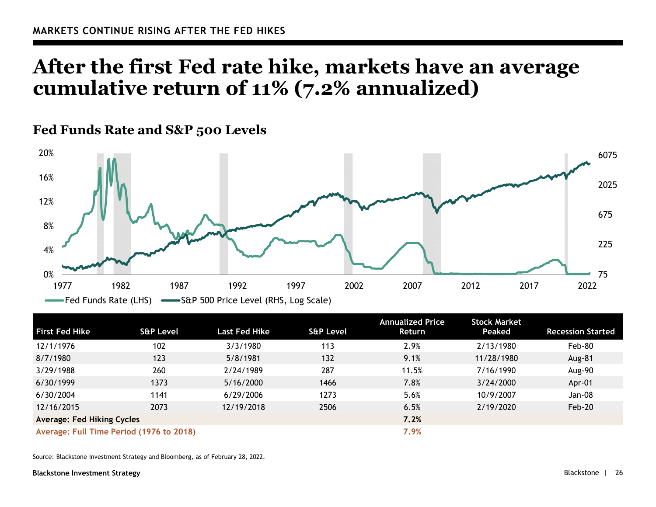## **After the first Fed rate hike, markets have an average cumulative return of 11% (7.2% annualized)**

## **Fed Funds Rate and S&P 500 Levels**



| <b>First Fed Hike</b>                    | <b>S&amp;P Level</b> | <b>Last Fed Hike</b> | <b>S&amp;P Level</b> | <b>Annualized Price</b><br>Return | <b>Stock Market</b><br>Peaked | <b>Recession Started</b> |
|------------------------------------------|----------------------|----------------------|----------------------|-----------------------------------|-------------------------------|--------------------------|
| 12/1/1976                                | 102                  | 3/3/1980             | 113                  | 2.9%                              | 2/13/1980                     | Feb-80                   |
| 8/7/1980                                 | 123                  | 5/8/1981             | 132                  | 9.1%                              | 11/28/1980                    | <b>Aug-81</b>            |
| 3/29/1988                                | 260                  | 2/24/1989            | 287                  | 11.5%                             | 7/16/1990                     | Aug-90                   |
| 6/30/1999                                | 1373                 | 5/16/2000            | 1466                 | 7.8%                              | 3/24/2000                     | Apr-01                   |
| 6/30/2004                                | 1141                 | 6/29/2006            | 1273                 | 5.6%                              | 10/9/2007                     | Jan-08                   |
| 12/16/2015                               | 2073                 | 12/19/2018           | 2506                 | 6.5%                              | 2/19/2020                     | Feb-20                   |
| <b>Average: Fed Hiking Cycles</b>        |                      |                      | 7.2%                 |                                   |                               |                          |
| Average: Full Time Period (1976 to 2018) |                      |                      | 7.9%                 |                                   |                               |                          |

Source: Blackstone Investment Strategy and Bloomberg, as of February 28, 2022.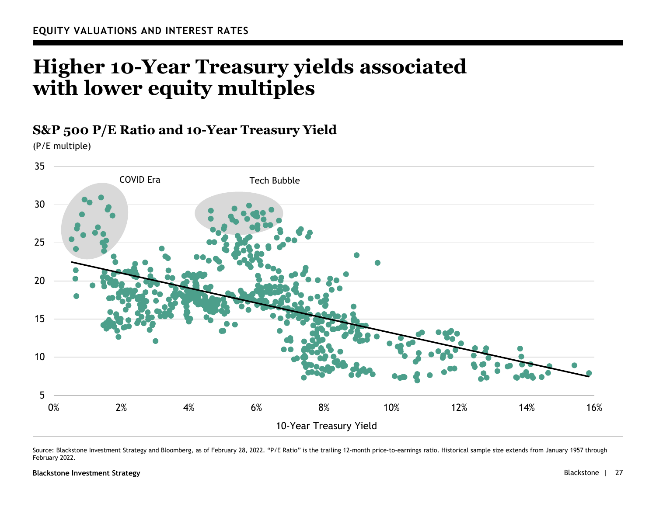# **Higher 10-Year Treasury yields associated with lower equity multiples**

### **S&P 500 P/E Ratio and 10-Year Treasury Yield**

(P/E multiple)



Source: Blackstone Investment Strategy and Bloomberg, as of February 28, 2022. "P/E Ratio" is the trailing 12-month price-to-earnings ratio. Historical sample size extends from January 1957 through February 2022.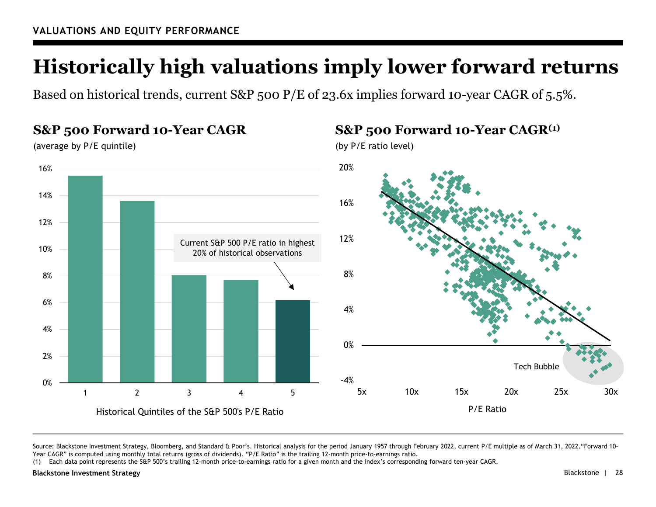# **Historically high valuations imply lower forward returns**

Based on historical trends, current S&P 500 P/E of 23.6x implies forward 10-year CAGR of 5.5%.

#### -4%0%4%8%12%16%20%5x 10x 15x 20x 25x 30xP/E Ratio0%2%4%6%8%10%12%14%16%12345Historical Quintiles of the S&P 500's P/E Ratio **S&P 500 Forward 10-Year CAGR(1)** (by P/E ratio level) Tech BubbleCurrent S&P 500 P/E ratio in highest 20% of historical observations**S&P 500 Forward 10-Year CAGR** (average by P/E quintile)

Source: Blackstone Investment Strategy, Bloomberg, and Standard & Poor's. Historical analysis for the period January 1957 through February 2022, current P/E multiple as of March 31, 2022. "Forward 10-Year CAGR" is computed using monthly total returns (gross of dividends). "P/E Ratio" is the trailing 12-month price-to-earnings ratio.

(1) Each data point represents the S&P 500's trailing 12-month price-to-earnings ratio for a given month and the index's corresponding forward ten-year CAGR.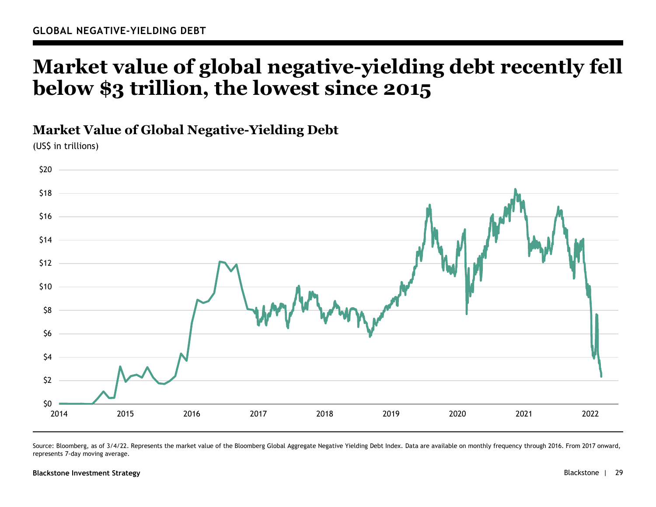## **Market value of global negative-yielding debt recently fell below \$3 trillion, the lowest since 2015**

### **Market Value of Global Negative-Yielding Debt**

(US\$ in trillions)



Source: Bloomberg, as of 3/4/22. Represents the market value of the Bloomberg Global Aggregate Negative Yielding Debt Index. Data are available on monthly frequency through 2016. From 2017 onward, represents 7-day moving average.

#### **Blackstone Investment Strategy** Blackstone | 29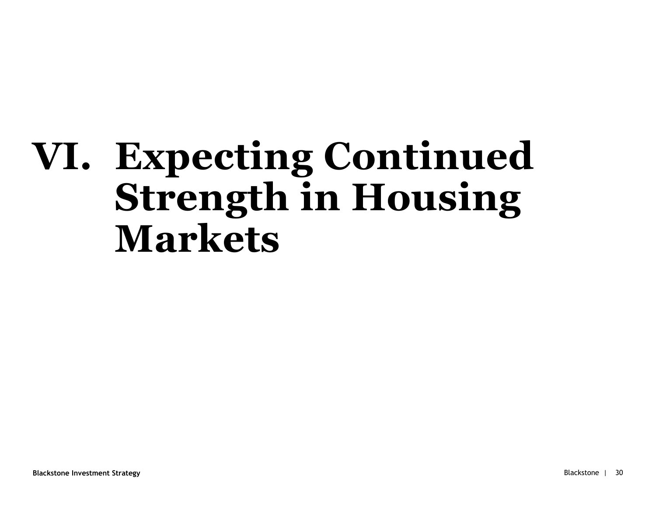# **VI. Expecting Continued Strength in Housing Markets**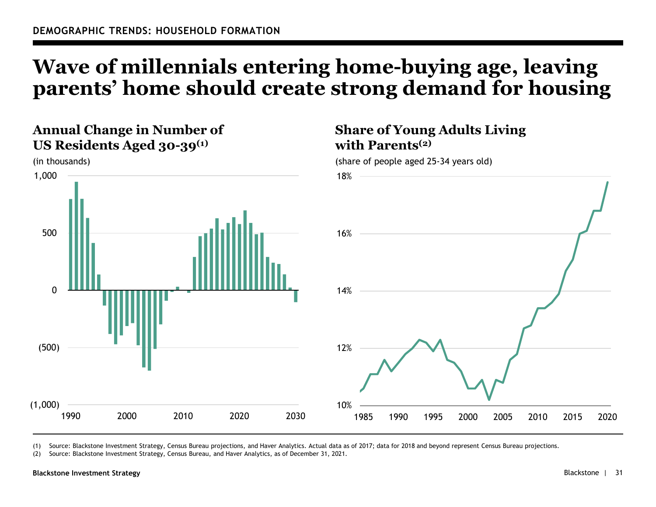# **Wave of millennials entering home-buying age, leaving parents' home should create strong demand for housing**

**Share of Young Adults Living** 

**with Parents(2)**

## **Annual Change in Number of US Residents Aged 30-39(1)**



(1) Source: Blackstone Investment Strategy, Census Bureau projections, and Haver Analytics. Actual data as of 2017; data for 2018 and beyond represent Census Bureau projections.

(2) Source: Blackstone Investment Strategy, Census Bureau, and Haver Analytics, as of December 31, 2021.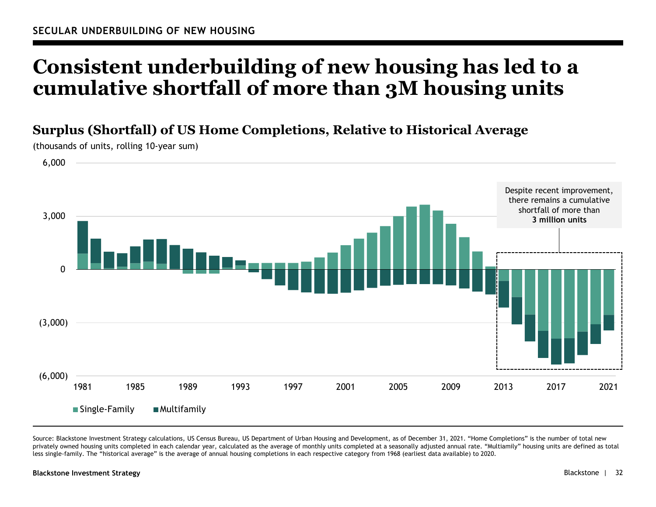# **Consistent underbuilding of new housing has led to a cumulative shortfall of more than 3M housing units**

## **Surplus (Shortfall) of US Home Completions, Relative to Historical Average**

(6,000) (3,000) 03,000 6,000 1981 1985 1989 1993 1997 2001 2005 2009 2013 2017 2021Despite recent improvement, there remains a cumulative shortfall of more than **3 million units**

(thousands of units, rolling 10-year sum)

Source: Blackstone Investment Strategy calculations, US Census Bureau, US Department of Urban Housing and Development, as of December 31, 2021. "Home Completions" is the number of total new privately owned housing units completed in each calendar year, calculated as the average of monthly units completed at a seasonally adjusted annual rate. "Multiamily" housing units are defined as total less single-family. The "historical average" is the average of annual housing completions in each respective category from 1968 (earliest data available) to 2020.

#### **Blackstone Investment Strategy**

 $\blacksquare$  Single-Family  $\blacksquare$  Multifamily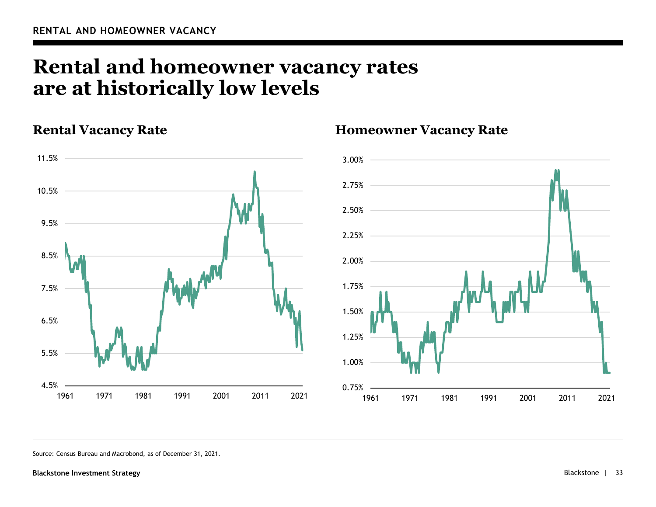## **Rental and homeowner vacancy rates are at historically low levels**

## **Rental Vacancy Rate**



### **Homeowner Vacancy Rate**



Source: Census Bureau and Macrobond, as of December 31, 2021.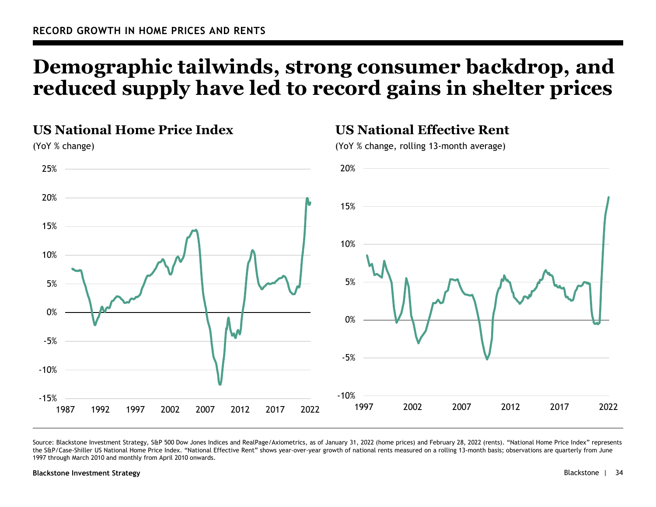# **Demographic tailwinds, strong consumer backdrop, and reduced supply have led to record gains in shelter prices**

## **US National Home Price Index**

(YoY % change)



Source: Blackstone Investment Strategy, S&P 500 Dow Jones Indices and RealPage/Axiometrics, as of January 31, 2022 (home prices) and February 28, 2022 (rents). "National Home Price Index" represents the S&P/Case-Shiller US National Home Price Index. "National Effective Rent" shows year-over-year growth of national rents measured on a rolling 13-month basis; observations are quarterly from June 1997 through March 2010 and monthly from April 2010 onwards.

#### **Blackstone Investment Strategy** Blackstone | 34

## **US National Effective Rent**

(YoY % change, rolling 13-month average)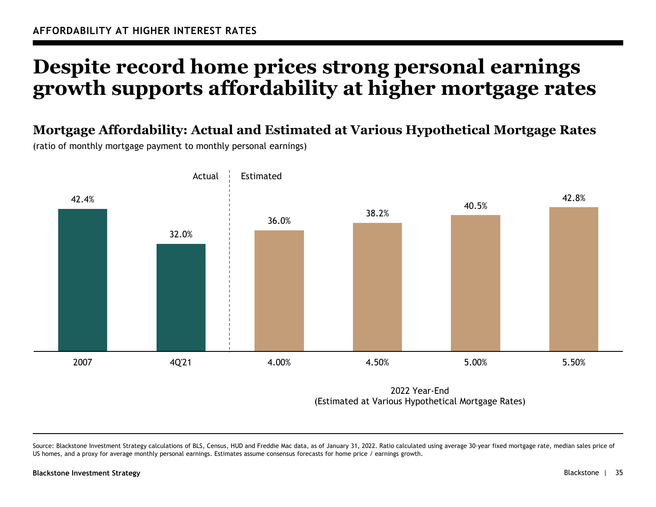# **Despite record home prices strong personal earnings growth supports affordability at higher mortgage rates**

**Mortgage Affordability: Actual and Estimated at Various Hypothetical Mortgage Rates**

(ratio of monthly mortgage payment to monthly personal earnings)



2022 Year-End (Estimated at Various Hypothetical Mortgage Rates)

Source: Blackstone Investment Strategy calculations of BLS, Census, HUD and Freddie Mac data, as of January 31, 2022. Ratio calculated using average 30-year fixed mortgage rate, median sales price of US homes, and a proxy for average monthly personal earnings. Estimates assume consensus forecasts for home price / earnings growth.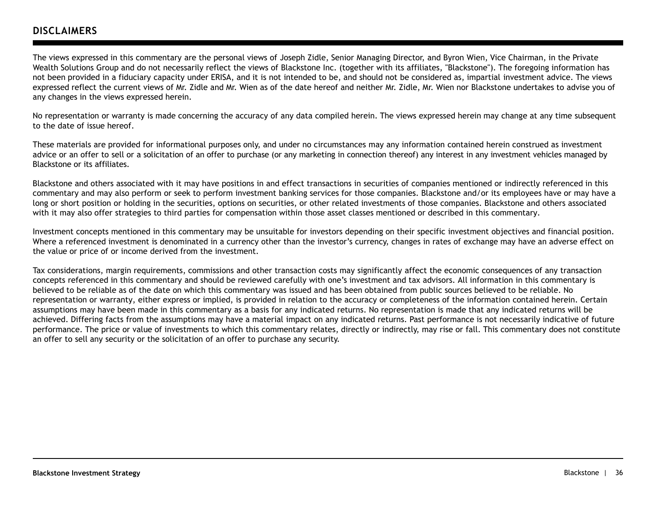### **DISCLAIMERS**

The views expressed in this commentary are the personal views of Joseph Zidle, Senior Managing Director, and Byron Wien, Vice Chairman, in the Private Wealth Solutions Group and do not necessarily reflect the views of Blackstone Inc. (together with its affiliates, "Blackstone"). The foregoing information has not been provided in a fiduciary capacity under ERISA, and it is not intended to be, and should not be considered as, impartial investment advice. The views expressed reflect the current views of Mr. Zidle and Mr. Wien as of the date hereof and neither Mr. Zidle, Mr. Wien nor Blackstone undertakes to advise you of any changes in the views expressed herein.

No representation or warranty is made concerning the accuracy of any data compiled herein. The views expressed herein may change at any time subsequent to the date of issue hereof.

These materials are provided for informational purposes only, and under no circumstances may any information contained herein construed as investment advice or an offer to sell or a solicitation of an offer to purchase (or any marketing in connection thereof) any interest in any investment vehicles managed by Blackstone or its affiliates.

Blackstone and others associated with it may have positions in and effect transactions in securities of companies mentioned or indirectly referenced in this commentary and may also perform or seek to perform investment banking services for those companies. Blackstone and/or its employees have or may have a long or short position or holding in the securities, options on securities, or other related investments of those companies. Blackstone and others associated with it may also offer strategies to third parties for compensation within those asset classes mentioned or described in this commentary.

Investment concepts mentioned in this commentary may be unsuitable for investors depending on their specific investment objectives and financial position. Where a referenced investment is denominated in a currency other than the investor's currency, changes in rates of exchange may have an adverse effect on the value or price of or income derived from the investment.

Tax considerations, margin requirements, commissions and other transaction costs may significantly affect the economic consequences of any transaction concepts referenced in this commentary and should be reviewed carefully with one's investment and tax advisors. All information in this commentary is believed to be reliable as of the date on which this commentary was issued and has been obtained from public sources believed to be reliable. No representation or warranty, either express or implied, is provided in relation to the accuracy or completeness of the information contained herein. Certain assumptions may have been made in this commentary as a basis for any indicated returns. No representation is made that any indicated returns will be achieved. Differing facts from the assumptions may have a material impact on any indicated returns. Past performance is not necessarily indicative of future performance. The price or value of investments to which this commentary relates, directly or indirectly, may rise or fall. This commentary does not constitute an offer to sell any security or the solicitation of an offer to purchase any security.